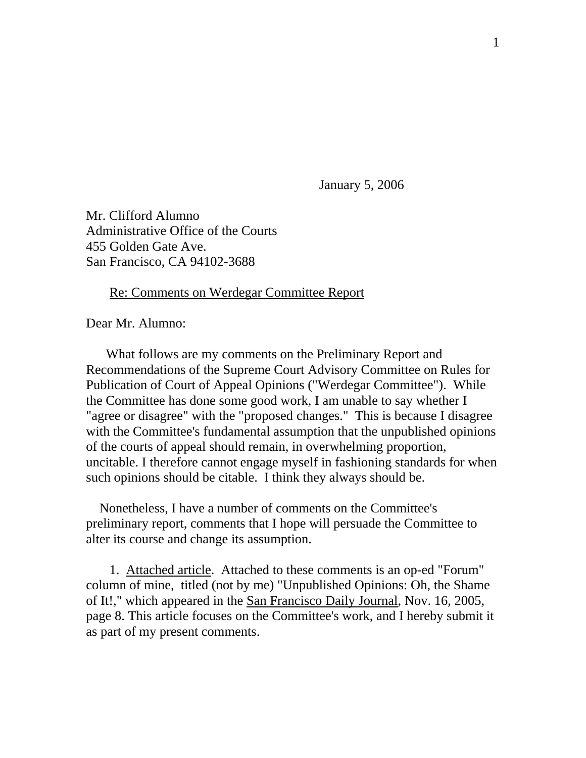January 5, 2006

Mr. Clifford Alumno Administrative Office of the Courts 455 Golden Gate Ave. San Francisco, CA 94102-3688

#### Re: Comments on Werdegar Committee Report

Dear Mr. Alumno:

 What follows are my comments on the Preliminary Report and Recommendations of the Supreme Court Advisory Committee on Rules for Publication of Court of Appeal Opinions ("Werdegar Committee"). While the Committee has done some good work, I am unable to say whether I "agree or disagree" with the "proposed changes." This is because I disagree with the Committee's fundamental assumption that the unpublished opinions of the courts of appeal should remain, in overwhelming proportion, uncitable. I therefore cannot engage myself in fashioning standards for when such opinions should be citable. I think they always should be.

 Nonetheless, I have a number of comments on the Committee's preliminary report, comments that I hope will persuade the Committee to alter its course and change its assumption.

 1. Attached article. Attached to these comments is an op-ed "Forum" column of mine, titled (not by me) "Unpublished Opinions: Oh, the Shame of It!," which appeared in the San Francisco Daily Journal, Nov. 16, 2005, page 8. This article focuses on the Committee's work, and I hereby submit it as part of my present comments.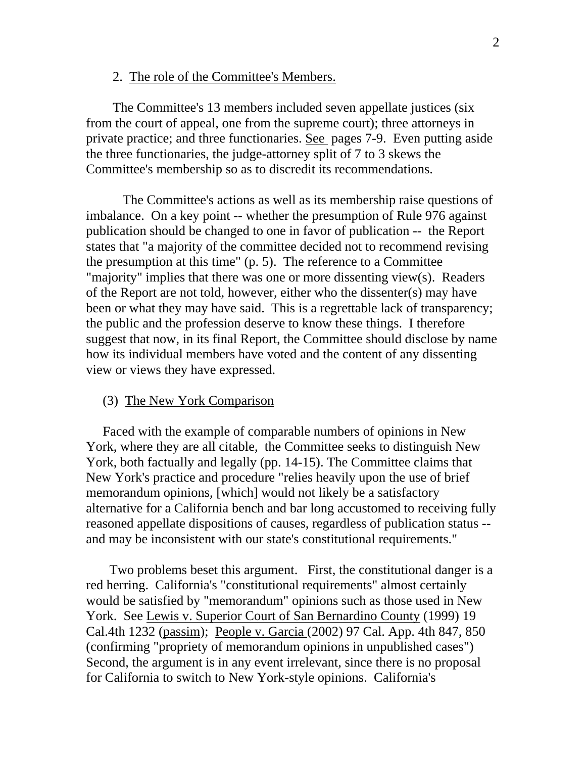#### 2. The role of the Committee's Members.

 The Committee's 13 members included seven appellate justices (six from the court of appeal, one from the supreme court); three attorneys in private practice; and three functionaries. See pages 7-9. Even putting aside the three functionaries, the judge-attorney split of 7 to 3 skews the Committee's membership so as to discredit its recommendations.

 The Committee's actions as well as its membership raise questions of imbalance. On a key point -- whether the presumption of Rule 976 against publication should be changed to one in favor of publication -- the Report states that "a majority of the committee decided not to recommend revising the presumption at this time" (p. 5). The reference to a Committee "majority" implies that there was one or more dissenting view(s). Readers of the Report are not told, however, either who the dissenter(s) may have been or what they may have said. This is a regrettable lack of transparency; the public and the profession deserve to know these things. I therefore suggest that now, in its final Report, the Committee should disclose by name how its individual members have voted and the content of any dissenting view or views they have expressed.

## (3) The New York Comparison

 Faced with the example of comparable numbers of opinions in New York, where they are all citable, the Committee seeks to distinguish New York, both factually and legally (pp. 14-15). The Committee claims that New York's practice and procedure "relies heavily upon the use of brief memorandum opinions, [which] would not likely be a satisfactory alternative for a California bench and bar long accustomed to receiving fully reasoned appellate dispositions of causes, regardless of publication status - and may be inconsistent with our state's constitutional requirements."

 Two problems beset this argument. First, the constitutional danger is a red herring. California's "constitutional requirements" almost certainly would be satisfied by "memorandum" opinions such as those used in New York. See Lewis v. Superior Court of San Bernardino County (1999) 19 Cal.4th 1232 (passim); People v. Garcia (2002) 97 Cal. App. 4th 847, 850 (confirming "propriety of memorandum opinions in unpublished cases") Second, the argument is in any event irrelevant, since there is no proposal for California to switch to New York-style opinions. California's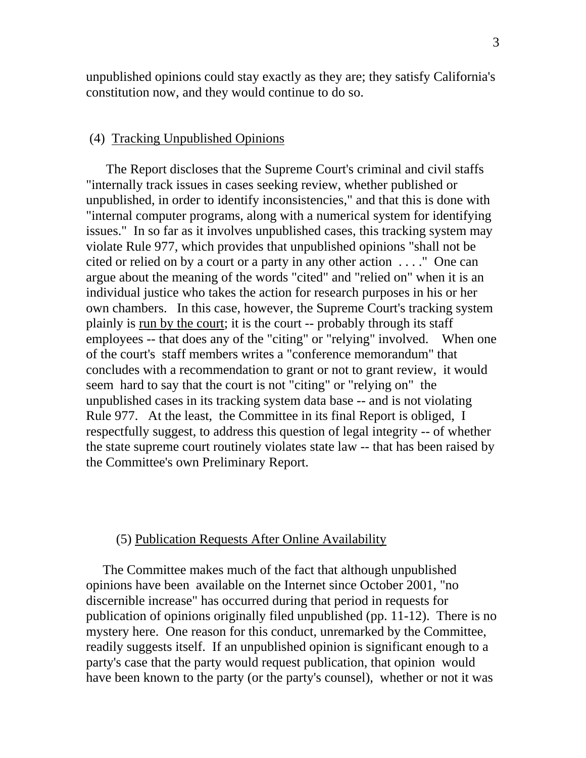unpublished opinions could stay exactly as they are; they satisfy California's constitution now, and they would continue to do so.

## (4) Tracking Unpublished Opinions

 The Report discloses that the Supreme Court's criminal and civil staffs "internally track issues in cases seeking review, whether published or unpublished, in order to identify inconsistencies," and that this is done with "internal computer programs, along with a numerical system for identifying issues." In so far as it involves unpublished cases, this tracking system may violate Rule 977, which provides that unpublished opinions "shall not be cited or relied on by a court or a party in any other action . . . ." One can argue about the meaning of the words "cited" and "relied on" when it is an individual justice who takes the action for research purposes in his or her own chambers. In this case, however, the Supreme Court's tracking system plainly is run by the court; it is the court -- probably through its staff employees -- that does any of the "citing" or "relying" involved. When one of the court's staff members writes a "conference memorandum" that concludes with a recommendation to grant or not to grant review, it would seem hard to say that the court is not "citing" or "relying on" the unpublished cases in its tracking system data base -- and is not violating Rule 977. At the least, the Committee in its final Report is obliged, I respectfully suggest, to address this question of legal integrity -- of whether the state supreme court routinely violates state law -- that has been raised by the Committee's own Preliminary Report.

# (5) Publication Requests After Online Availability

 The Committee makes much of the fact that although unpublished opinions have been available on the Internet since October 2001, "no discernible increase" has occurred during that period in requests for publication of opinions originally filed unpublished (pp. 11-12). There is no mystery here. One reason for this conduct, unremarked by the Committee, readily suggests itself. If an unpublished opinion is significant enough to a party's case that the party would request publication, that opinion would have been known to the party (or the party's counsel), whether or not it was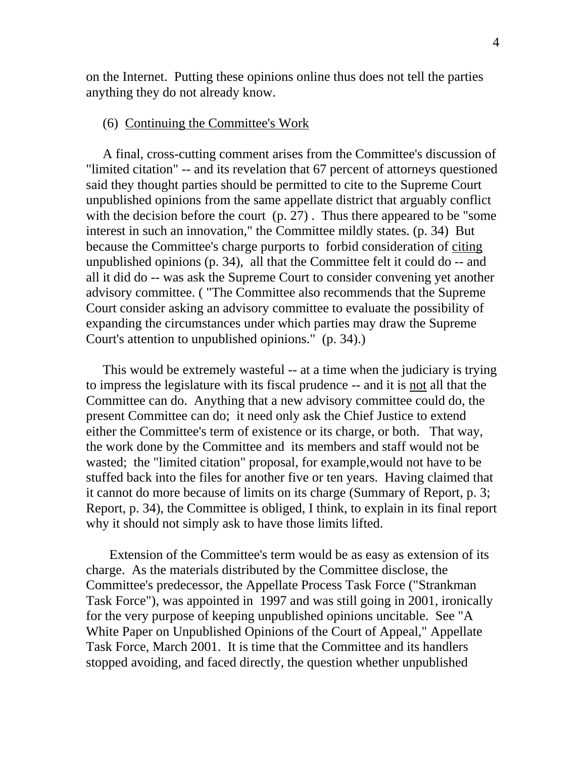on the Internet. Putting these opinions online thus does not tell the parties anything they do not already know.

## (6) Continuing the Committee's Work

 A final, cross-cutting comment arises from the Committee's discussion of "limited citation" -- and its revelation that 67 percent of attorneys questioned said they thought parties should be permitted to cite to the Supreme Court unpublished opinions from the same appellate district that arguably conflict with the decision before the court (p. 27). Thus there appeared to be "some" interest in such an innovation," the Committee mildly states. (p. 34) But because the Committee's charge purports to forbid consideration of citing unpublished opinions (p. 34), all that the Committee felt it could do -- and all it did do -- was ask the Supreme Court to consider convening yet another advisory committee. ( "The Committee also recommends that the Supreme Court consider asking an advisory committee to evaluate the possibility of expanding the circumstances under which parties may draw the Supreme Court's attention to unpublished opinions." (p. 34).)

 This would be extremely wasteful -- at a time when the judiciary is trying to impress the legislature with its fiscal prudence -- and it is not all that the Committee can do. Anything that a new advisory committee could do, the present Committee can do; it need only ask the Chief Justice to extend either the Committee's term of existence or its charge, or both. That way, the work done by the Committee and its members and staff would not be wasted; the "limited citation" proposal, for example,would not have to be stuffed back into the files for another five or ten years. Having claimed that it cannot do more because of limits on its charge (Summary of Report, p. 3; Report, p. 34), the Committee is obliged, I think, to explain in its final report why it should not simply ask to have those limits lifted.

 Extension of the Committee's term would be as easy as extension of its charge. As the materials distributed by the Committee disclose, the Committee's predecessor, the Appellate Process Task Force ("Strankman Task Force"), was appointed in 1997 and was still going in 2001, ironically for the very purpose of keeping unpublished opinions uncitable. See "A White Paper on Unpublished Opinions of the Court of Appeal," Appellate Task Force, March 2001. It is time that the Committee and its handlers stopped avoiding, and faced directly, the question whether unpublished